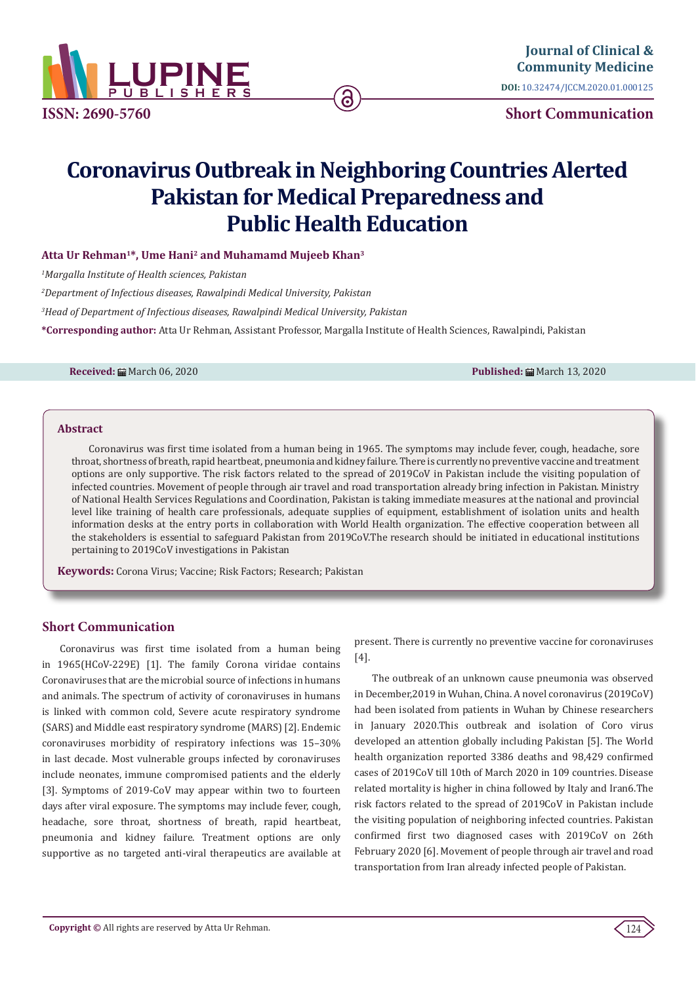

**Journal of Clinical & [Community Medicine](https://lupinepublishers.com/clinical-community-medicine/) DOI:** [10.32474/JCCM.2020.01.0001](http://dx.doi.org/10.32474/JCCM.2020.01.000125)25

**Short Communication**

# **Coronavirus Outbreak in Neighboring Countries Alerted Pakistan for Medical Preparedness and Public Health Education**

ခ

# **Atta Ur Rehman1\*, Ume Hani2 and Muhamamd Mujeeb Khan3**

*1 Margalla Institute of Health sciences, Pakistan*

*2 Department of Infectious diseases, Rawalpindi Medical University, Pakistan*

*3 Head of Department of Infectious diseases, Rawalpindi Medical University, Pakistan*

**\*Corresponding author:** Atta Ur Rehman, Assistant Professor, Margalla Institute of Health Sciences, Rawalpindi, Pakistan

**Received:** March 06, 2020 **Published:** March 13, 2020

#### **Abstract**

Coronavirus was first time isolated from a human being in 1965. The symptoms may include fever, cough, headache, sore throat, shortness of breath, rapid heartbeat, pneumonia and kidney failure. There is currently no preventive vaccine and treatment options are only supportive. The risk factors related to the spread of 2019CoV in Pakistan include the visiting population of infected countries. Movement of people through air travel and road transportation already bring infection in Pakistan. Ministry of National Health Services Regulations and Coordination, Pakistan is taking immediate measures at the national and provincial level like training of health care professionals, adequate supplies of equipment, establishment of isolation units and health information desks at the entry ports in collaboration with World Health organization. The effective cooperation between all the stakeholders is essential to safeguard Pakistan from 2019CoV.The research should be initiated in educational institutions pertaining to 2019CoV investigations in Pakistan

**Keywords:** Corona Virus; Vaccine; Risk Factors; Research; Pakistan

## **Short Communication**

Coronavirus was first time isolated from a human being in 1965(HCoV-229E) [1]. The family Corona viridae contains Coronaviruses that are the microbial source of infections in humans and animals. The spectrum of activity of coronaviruses in humans is linked with common cold, Severe acute respiratory syndrome (SARS) and Middle east respiratory syndrome (MARS) [2]. Endemic coronaviruses morbidity of respiratory infections was 15–30% in last decade. Most vulnerable groups infected by coronaviruses include neonates, immune compromised patients and the elderly [3]. Symptoms of 2019-CoV may appear within two to fourteen days after viral exposure. The symptoms may include fever, cough, headache, sore throat, shortness of breath, rapid heartbeat, pneumonia and kidney failure. Treatment options are only supportive as no targeted anti-viral therapeutics are available at present. There is currently no preventive vaccine for coronaviruses [4].

The outbreak of an unknown cause pneumonia was observed in December,2019 in Wuhan, China. A novel coronavirus (2019CoV) had been isolated from patients in Wuhan by Chinese researchers in January 2020.This outbreak and isolation of Coro virus developed an attention globally including Pakistan [5]. The World health organization reported 3386 deaths and 98,429 confirmed cases of 2019CoV till 10th of March 2020 in 109 countries. Disease related mortality is higher in china followed by Italy and Iran6.The risk factors related to the spread of 2019CoV in Pakistan include the visiting population of neighboring infected countries. Pakistan confirmed first two diagnosed cases with 2019CoV on 26th February 2020 [6]. Movement of people through air travel and road transportation from Iran already infected people of Pakistan.